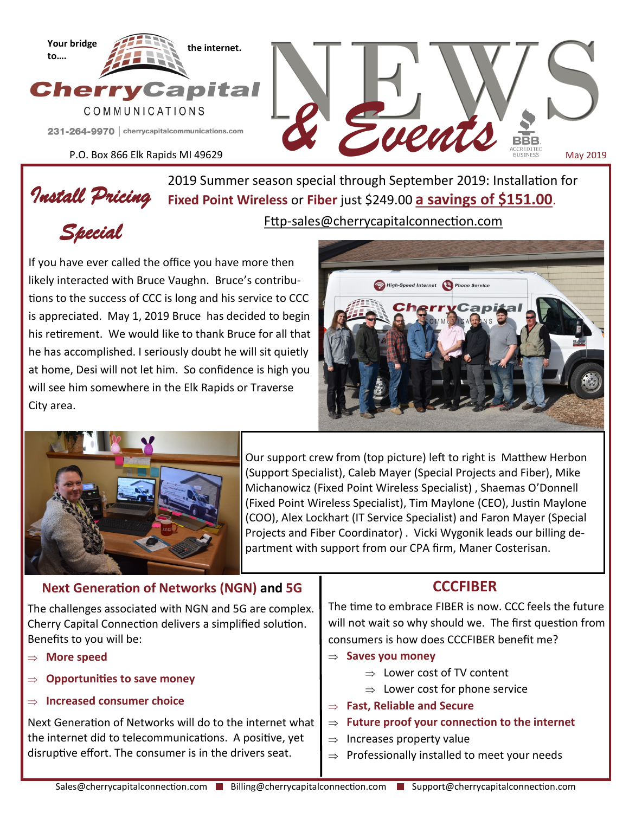

P.O. Box 866 Elk Rapids MI 49629

*Install Pricing*  **Fixed Point Wireless** or **Fiber** just \$249.00 **a savings of \$151.00**. 2019 Summer season special through September 2019: Installation for Fttp-sales@cherrycapitalconnection.com

*& Events*

*Special* 

If you have ever called the office you have more then likely interacted with Bruce Vaughn. Bruce's contributions to the success of CCC is long and his service to CCC is appreciated. May 1, 2019 Bruce has decided to begin his retirement. We would like to thank Bruce for all that he has accomplished. I seriously doubt he will sit quietly at home, Desi will not let him. So confidence is high you will see him somewhere in the Elk Rapids or Traverse City area.



May 2019



Our support crew from (top picture) left to right is Matthew Herbon (Support Specialist), Caleb Mayer (Special Projects and Fiber), Mike Michanowicz (Fixed Point Wireless Specialist) , Shaemas O'Donnell (Fixed Point Wireless Specialist), Tim Maylone (CEO), Justin Maylone (COO), Alex Lockhart (IT Service Specialist) and Faron Mayer (Special Projects and Fiber Coordinator) . Vicki Wygonik leads our billing department with support from our CPA firm, Maner Costerisan.

## **Next Generation of Networks (NGN) and 5G**

The challenges associated with NGN and 5G are complex. Cherry Capital Connection delivers a simplified solution. Benefits to you will be:

- **More speed**
- **Opportunities to save money**
- **Increased consumer choice**

Next Generation of Networks will do to the internet what the internet did to telecommunications. A positive, yet disruptive effort. The consumer is in the drivers seat.

## **CCCFIBER**

The time to embrace FIBER is now. CCC feels the future will not wait so why should we. The first question from consumers is how does CCCFIBER benefit me?

- $\Rightarrow$  Saves you money
	- $\Rightarrow$  Lower cost of TV content
	- $\Rightarrow$  Lower cost for phone service
- **Fast, Reliable and Secure**

### **Future proof your connection to the internet**

- $\Rightarrow$  Increases property value
- $\Rightarrow$  Professionally installed to meet your needs